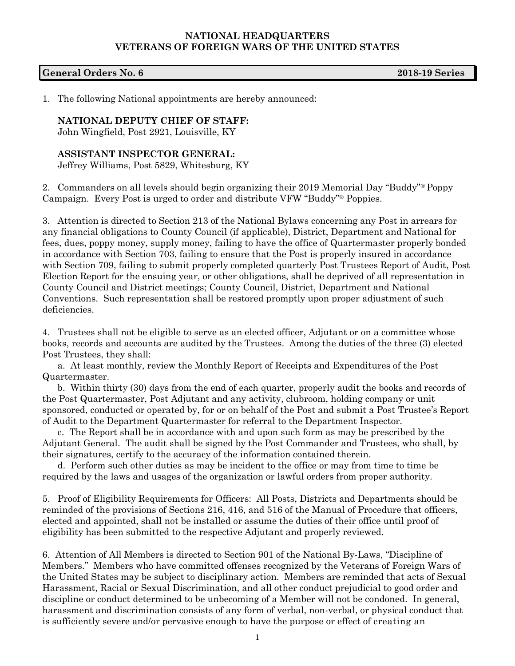## **NATIONAL HEADQUARTERS VETERANS OF FOREIGN WARS OF THE UNITED STATES**

## **General Orders No. 6 2018-19 Series**

1. The following National appointments are hereby announced:

## **NATIONAL DEPUTY CHIEF OF STAFF:**

John Wingfield, Post 2921, Louisville, KY

## **ASSISTANT INSPECTOR GENERAL:**

Jeffrey Williams, Post 5829, Whitesburg, KY

2. Commanders on all levels should begin organizing their 2019 Memorial Day "Buddy"® Poppy Campaign. Every Post is urged to order and distribute VFW "Buddy"® Poppies.

3. Attention is directed to Section 213 of the National Bylaws concerning any Post in arrears for any financial obligations to County Council (if applicable), District, Department and National for fees, dues, poppy money, supply money, failing to have the office of Quartermaster properly bonded in accordance with Section 703, failing to ensure that the Post is properly insured in accordance with Section 709, failing to submit properly completed quarterly Post Trustees Report of Audit, Post Election Report for the ensuing year, or other obligations, shall be deprived of all representation in County Council and District meetings; County Council, District, Department and National Conventions. Such representation shall be restored promptly upon proper adjustment of such deficiencies.

4. Trustees shall not be eligible to serve as an elected officer, Adjutant or on a committee whose books, records and accounts are audited by the Trustees. Among the duties of the three (3) elected Post Trustees, they shall:

a. At least monthly, review the Monthly Report of Receipts and Expenditures of the Post Quartermaster.

b. Within thirty (30) days from the end of each quarter, properly audit the books and records of the Post Quartermaster, Post Adjutant and any activity, clubroom, holding company or unit sponsored, conducted or operated by, for or on behalf of the Post and submit a Post Trustee's Report of Audit to the Department Quartermaster for referral to the Department Inspector.

c. The Report shall be in accordance with and upon such form as may be prescribed by the Adjutant General. The audit shall be signed by the Post Commander and Trustees, who shall, by their signatures, certify to the accuracy of the information contained therein.

d. Perform such other duties as may be incident to the office or may from time to time be required by the laws and usages of the organization or lawful orders from proper authority.

5. Proof of Eligibility Requirements for Officers: All Posts, Districts and Departments should be reminded of the provisions of Sections 216, 416, and 516 of the Manual of Procedure that officers, elected and appointed, shall not be installed or assume the duties of their office until proof of eligibility has been submitted to the respective Adjutant and properly reviewed.

6. Attention of All Members is directed to Section 901 of the National By-Laws, "Discipline of Members." Members who have committed offenses recognized by the Veterans of Foreign Wars of the United States may be subject to disciplinary action. Members are reminded that acts of Sexual Harassment, Racial or Sexual Discrimination, and all other conduct prejudicial to good order and discipline or conduct determined to be unbecoming of a Member will not be condoned. In general, harassment and discrimination consists of any form of verbal, non-verbal, or physical conduct that is sufficiently severe and/or pervasive enough to have the purpose or effect of creating an